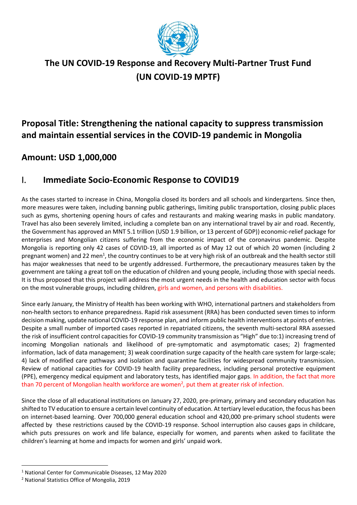

# **The UN COVID-19 Response and Recovery Multi-Partner Trust Fund (UN COVID-19 MPTF)**

## **Proposal Title: Strengthening the national capacity to suppress transmission and maintain essential services in the COVID-19 pandemic in Mongolia**

### **Amount: USD 1,000,000**

### I. **Immediate Socio-Economic Response to COVID19**

As the cases started to increase in China, Mongolia closed its borders and all schools and kindergartens. Since then, more measures were taken, including banning public gatherings, limiting public transportation, closing public places such as gyms, shortening opening hours of cafes and restaurants and making wearing masks in public mandatory. Travel has also been severely limited, including a complete ban on any international travel by air and road. Recently, the Government has approved an MNT 5.1 trillion (USD 1.9 billion, or 13 percent of GDP)) economic-relief package for enterprises and Mongolian citizens suffering from the economic impact of the coronavirus pandemic. Despite Mongolia is reporting only 42 cases of COVID-19, all imported as of May 12 out of which 20 women (including 2 pregnant women) and 22 men<sup>1</sup>, the country continues to be at very high risk of an outbreak and the health sector still has major weaknesses that need to be urgently addressed. Furthermore, the precautionary measures taken by the government are taking a great toll on the education of children and young people, including those with special needs. It is thus proposed that this project will address the most urgent needs in the health and education sector with focus on the most vulnerable groups, including children, girls and women, and persons with disabilities.

Since early January, the Ministry of Health has been working with WHO, international partners and stakeholders from non-health sectors to enhance preparedness. Rapid risk assessment (RRA) has been conducted seven times to inform decision making, update national COVID-19 response plan, and inform public health interventions at points of entries. Despite a small number of imported cases reported in repatriated citizens, the seventh multi-sectoral RRA assessed the risk of insufficient control capacities for COVID-19 community transmission as "High" due to:1) increasing trend of incoming Mongolian nationals and likelihood of pre-symptomatic and asymptomatic cases; 2) fragmented information, lack of data management; 3) weak coordination surge capacity of the health care system for large-scale; 4) lack of modified care pathways and isolation and quarantine facilities for widespread community transmission. Review of national capacities for COVID-19 health facility preparedness, including personal protective equipment (PPE), emergency medical equipment and laboratory tests, has identified major gaps. In addition, the fact that more than 70 percent of Mongolian health workforce are women<sup>2</sup>, put them at greater risk of infection.

Since the close of all educational institutions on January 27, 2020, pre-primary, primary and secondary education has shifted to TV education to ensure a certain level continuity of education. At tertiary level education, the focus has been on internet-based learning. Over 700,000 general education school and 420,000 pre-primary school students were affected by these restrictions caused by the COVID-19 response. School interruption also causes gaps in childcare, which puts pressures on work and life balance, especially for women, and parents when asked to facilitate the children's learning at home and impacts for women and girls' unpaid work.

<sup>1</sup> National Center for Communicable Diseases, 12 May 2020

<sup>2</sup> National Statistics Office of Mongolia, 2019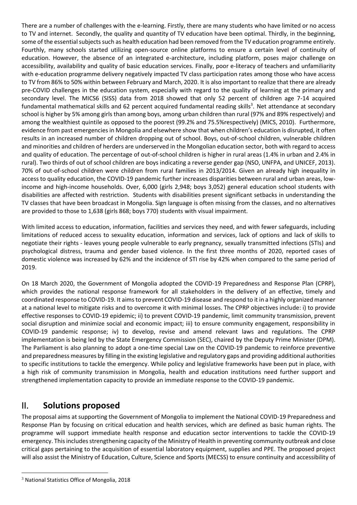There are a number of challenges with the e-learning. Firstly, there are many students who have limited or no access to TV and internet. Secondly, the quality and quantity of TV education have been optimal. Thirdly, in the beginning, some of the essential subjects such as health education had been removed from the TV education programme entirely. Fourthly, many schools started utilizing open-source online platforms to ensure a certain level of continuity of education. However, the absence of an integrated e-architecture, including platform, poses major challenge on accessibility, availability and quality of basic education services. Finally, poor e-literacy of teachers and unfamiliarity with e-education programme delivery negatively impacted TV class participation rates among those who have access to TV from 86% to 50% within between February and March, 2020. It is also important to realize that there are already pre-COVID challenges in the education system, especially with regard to the quality of learning at the primary and secondary level. The MICS6 (SISS) data from 2018 showed that only 52 percent of children age 7-14 acquired fundamental mathematical skills and 62 percent acquired fundamental reading skills<sup>3</sup>. Net attendance at secondary school is higher by 5% among girls than among boys, among urban children than rural (97% and 89% respectively) and among the wealthiest quintile as opposed to the poorest (99.2% and 75.5%respectively) (MICS, 2010). Furthermore, evidence from past emergencies in Mongolia and elsewhere show that when children's education is disrupted, it often results in an increased number of children dropping out of school. Boys, out-of-school children, vulnerable children and minorities and children of herders are underserved in the Mongolian education sector, both with regard to access and quality of education. The percentage of out-of-school children is higher in rural areas (1.4% in urban and 2.4% in rural). Two thirds of out of school children are boys indicating a reverse gender gap (NSO, UNFPA, and UNICEF, 2013). 70% of out-of-school children were children from rural families in 2013/2014. Given an already high inequality in access to quality education, the COVID-19 pandemic further increases disparities between rural and urban areas, lowincome and high-income households. Over, 6,000 (girls 2,948; boys 3,052) general education school students with disabilities are affected with restriction. Students with disabilities present significant setbacks in understanding the TV classes that have been broadcast in Mongolia. Sign language is often missing from the classes, and no alternatives are provided to those to 1,638 (girls 868; boys 770) students with visual impairment.

With limited access to education, information, facilities and services they need, and with fewer safeguards, including limitations of reduced access to sexuality education, information and services, lack of options and lack of skills to negotiate their rights - leaves young people vulnerable to early pregnancy, sexually transmitted infections (STIs) and psychological distress, trauma and gender based violence. In the first three months of 2020, reported cases of domestic violence was increased by 62% and the incidence of STI rise by 42% when compared to the same period of 2019.

On 18 March 2020, the Government of Mongolia adopted the COVID-19 Preparedness and Response Plan (CPRP), which provides the national response framework for all stakeholders in the delivery of an effective, timely and coordinated response to COVID-19. It aims to prevent COVID-19 disease and respond to it in a highly organized manner at a national level to mitigate risks and to overcome it with minimal losses. The CPRP objectives include: i) to provide effective responses to COVID-19 epidemic; ii) to prevent COVID-19 pandemic, limit community transmission, prevent social disruption and minimize social and economic impact; iii) to ensure community engagement, responsibility in COVID-19 pandemic response; iv) to develop, revise and amend relevant laws and regulations. The CPRP implementation is being led by the State Emergency Commission (SEC), chaired by the Deputy Prime Minister (DPM). The Parliament is also planning to adopt a one-time special Law on the COVID-19 pandemic to reinforce preventive and preparedness measures by filling in the existing legislative and regulatory gaps and providing additional authorities to specific institutions to tackle the emergency. While policy and legislative frameworks have been put in place, with a high risk of community transmission in Mongolia, health and education institutions need further support and strengthened implementation capacity to provide an immediate response to the COVID-19 pandemic.

### II. **Solutions proposed**

The proposal aims at supporting the Government of Mongolia to implement the National COVID-19 Preparedness and Response Plan by focusing on critical education and health services, which are defined as basic human rights. The programme will support immediate health response and education sector interventions to tackle the COVID-19 emergency. This includes strengthening capacity of the Ministry of Health in preventing community outbreak and close critical gaps pertaining to the acquisition of essential laboratory equipment, supplies and PPE. The proposed project will also assist the Ministry of Education, Culture, Science and Sports (MECSS) to ensure continuity and accessibility of

<sup>3</sup> National Statistics Office of Mongolia, 2018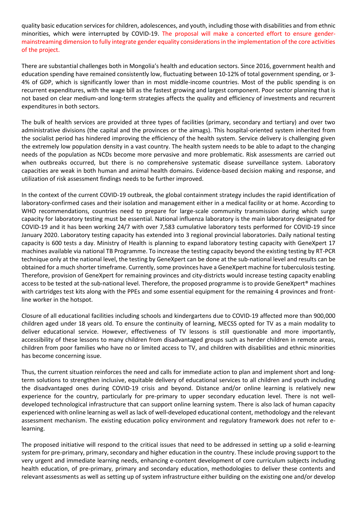quality basic education servicesfor children, adolescences, and youth, including those with disabilities and from ethnic minorities, which were interrupted by COVID-19. The proposal will make a concerted effort to ensure gendermainstreaming dimension to fully integrate gender equality considerations in the implementation of the core activities of the project.

There are substantial challenges both in Mongolia's health and education sectors. Since 2016, government health and education spending have remained consistently low, fluctuating between 10-12% of total government spending, or 3- 4% of GDP, which is significantly lower than in most middle-income countries. Most of the public spending is on recurrent expenditures, with the wage bill as the fastest growing and largest component. Poor sector planning that is not based on clear medium-and long-term strategies affects the quality and efficiency of investments and recurrent expenditures in both sectors.

The bulk of health services are provided at three types of facilities (primary, secondary and tertiary) and over two administrative divisions (the capital and the provinces or the aimags). This hospital-oriented system inherited from the socialist period has hindered improving the efficiency of the health system. Service delivery is challenging given the extremely low population density in a vast country. The health system needs to be able to adapt to the changing needs of the population as NCDs become more pervasive and more problematic. Risk assessments are carried out when outbreaks occurred, but there is no comprehensive systematic disease surveillance system. Laboratory capacities are weak in both human and animal health domains. Evidence-based decision making and response, and utilization of risk assessment findings needs to be further improved.

In the context of the current COVID-19 outbreak, the global containment strategy includes the rapid identification of laboratory-confirmed cases and their isolation and management either in a medical facility or at home. According to WHO recommendations, countries need to prepare for large-scale community transmission during which surge capacity for laboratory testing must be essential. National influenza laboratory is the main laboratory designated for COVID-19 and it has been working 24/7 with over 7,583 cumulative laboratory tests performed for COVID-19 since January 2020. Laboratory testing capacity has extended into 3 regional provincial laboratories. Daily national testing capacity is 600 tests a day. Ministry of Health is planning to expand laboratory testing capacity with GeneXpert 17 machines available via national TB Programme. To increase the testing capacity beyond the existing testing by RT-PCR technique only at the national level, the testing by GeneXpert can be done at the sub-national level and results can be obtained for a much shorter timeframe. Currently, some provinces have a GeneXpert machine for tuberculosis testing. Therefore, provision of GeneXpert for remaining provinces and city-districts would increase testing capacity enabling access to be tested at the sub-national level. Therefore, the proposed programme is to provide GeneXpert® machines with cartridges test kits along with the PPEs and some essential equipment for the remaining 4 provinces and frontline worker in the hotspot.

Closure of all educational facilities including schools and kindergartens due to COVID-19 affected more than 900,000 children aged under 18 years old. To ensure the continuity of learning, MECSS opted for TV as a main modality to deliver educational service. However, effectiveness of TV lessons is still questionable and more importantly, accessibility of these lessons to many children from disadvantaged groups such as herder children in remote areas, children from poor families who have no or limited access to TV, and children with disabilities and ethnic minorities has become concerning issue.

Thus, the current situation reinforces the need and calls for immediate action to plan and implement short and longterm solutions to strengthen inclusive, equitable delivery of educational services to all children and youth including the disadvantaged ones during COVID-19 crisis and beyond. Distance and/or online learning is relatively new experience for the country, particularly for pre-primary to upper secondary education level. There is not welldeveloped technological infrastructure that can support online learning system. There is also lack of human capacity experienced with online learning as well as lack of well-developed educational content, methodology and the relevant assessment mechanism. The existing education policy environment and regulatory framework does not refer to elearning.

The proposed initiative will respond to the critical issues that need to be addressed in setting up a solid e-learning system for pre-primary, primary, secondary and higher education in the country. These include proving support to the very urgent and immediate learning needs, enhancing e-content development of core curriculum subjects including health education, of pre-primary, primary and secondary education, methodologies to deliver these contents and relevant assessments as well as setting up of system infrastructure either building on the existing one and/or develop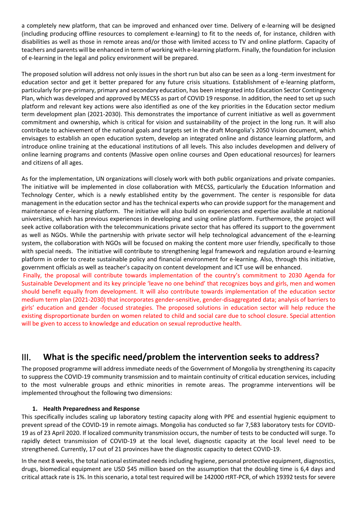a completely new platform, that can be improved and enhanced over time. Delivery of e-learning will be designed (including producing offline resources to complement e-learning) to fit to the needs of, for instance, children with disabilities as well as those in remote areas and/or those with limited access to TV and online platform. Capacity of teachers and parents will be enhanced in term of working with e-learning platform. Finally, the foundation for inclusion of e-learning in the legal and policy environment will be prepared.

The proposed solution will address not only issues in the short run but also can be seen as a long -term investment for education sector and get it better prepared for any future crisis situations. Establishment of e-learning platform, particularly for pre-primary, primary and secondary education, has been integrated into Education Sector Contingency Plan, which was developed and approved by MECSS as part of COVID 19 response. In addition, the need to set up such platform and relevant key actions were also identified as one of the key priorities in the Education sector medium term development plan (2021-2030). This demonstrates the importance of current initiative as well as government commitment and ownership, which is critical for vision and sustainability of the project in the long run. It will also contribute to achievement of the national goals and targets set in the draft Mongolia's 2050 Vision document, which envisages to establish an open education system, develop an integrated online and distance learning platform, and introduce online training at the educational institutions of all levels. This also includes developmen and delivery of online learning programs and contents (Massive open online courses and Open educational resources) for learners and citizens of all ages.

As for the implementation, UN organizations will closely work with both public organizations and private companies. The initiative will be implemented in close collaboration with MECSS, particularly the Education Information and Technology Center, which is a newly established entity by the government. The center is responsible for data management in the education sector and has the technical experts who can provide support for the management and maintenance of e-learning platform. The initiative will also build on experiences and expertise available at national universities, which has previous experiences in developing and using online platform. Furthermore, the project will seek active collaboration with the telecommunications private sector that has offered its support to the government as well as NGOs. While the partnership with private sector will help technological advancement of the e-learning system, the collaboration with NGOs will be focused on making the content more user friendly, specifically to those with special needs. The initiative will contribute to strengthening legal framework and regulation around e-learning platform in order to create sustainable policy and financial environment for e-learning. Also, through this initiative, government officials as well as teacher's capacity on content development and ICT use will be enhanced.

Finally, the proposal will contribute towards implementation of the country's commitment to 2030 Agenda for Sustainable Development and its key principle 'leave no one behind' that recognizes boys and girls, men and women should benefit equally from development. It will also contribute towards implementation of the education sector medium term plan (2021-2030) that incorporates gender-sensitive, gender-disaggregated data; analysis of barriers to girls' education and gender -focused strategies. The proposed solutions in education sector will help reduce the existing disproportionate burden on women related to child and social care due to school closure. Special attention will be given to access to knowledge and education on sexual reproductive health.

## III. **What is the specific need/problem the intervention seeks to address?**

The proposed programme will address immediate needs of the Government of Mongolia by strengthening its capacity to suppress the COVID-19 community transmission and to maintain continuity of critical education services, including to the most vulnerable groups and ethnic minorities in remote areas. The programme interventions will be implemented throughout the following two dimensions:

#### **1. Health Preparedness and Response**

This specifically includes scaling up laboratory testing capacity along with PPE and essential hygienic equipment to prevent spread of the COVID-19 in remote aimags. Mongolia has conducted so far 7,583 laboratory tests for COVID-19 as of 23 April 2020. If localized community transmission occurs, the number of tests to be conducted will surge. To rapidly detect transmission of COVID-19 at the local level, diagnostic capacity at the local level need to be strengthened. Currently, 17 out of 21 provinces have the diagnostic capacity to detect COVID-19.

In the next 8 weeks, the total national estimated needs including hygiene, personal protective equipment, diagnostics, drugs, biomedical equipment are USD \$45 million based on the assumption that the doubling time is 6,4 days and critical attack rate is 1%. In this scenario, a total test required will be 142000 rtRT-PCR, of which 19392 tests for severe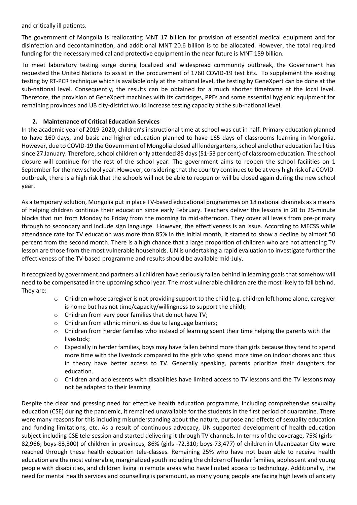and critically ill patients.

The government of Mongolia is reallocating MNT 17 billion for provision of essential medical equipment and for disinfection and decontamination, and additional MNT 20.6 billion is to be allocated. However, the total required funding for the necessary medical and protective equipment in the near future is MNT 159 billion.

To meet laboratory testing surge during localized and widespread community outbreak, the Government has requested the United Nations to assist in the procurement of 1760 COVID-19 test kits. To supplement the existing testing by RT-PCR technique which is available only at the national level, the testing by GeneXpert can be done at the sub-national level. Consequently, the results can be obtained for a much shorter timeframe at the local level. Therefore, the provision of GeneXpert machines with its cartridges, PPEs and some essential hygienic equipment for remaining provinces and UB city-district would increase testing capacity at the sub-national level.

#### **2. Maintenance of Critical Education Services**

In the academic year of 2019-2020, children's instructional time at school was cut in half. Primary education planned to have 160 days, and basic and higher education planned to have 165 days of classrooms learning in Mongolia. However, due to COVID-19 the Government of Mongolia closed all kindergartens, school and other education facilities since 27 January. Therefore, school children only attended 85 days (51-53 per cent) of classroom education. The school closure will continue for the rest of the school year. The government aims to reopen the school facilities on 1 September for the new school year. However, considering that the country continues to be at very high risk of a COVIDoutbreak, there is a high risk that the schools will not be able to reopen or will be closed again during the new school year.

As a temporary solution, Mongolia put in place TV-based educational programmes on 18 national channels as a means of helping children continue their education since early February. Teachers deliver the lessons in 20 to 25-minute blocks that run from Monday to Friday from the morning to mid-afternoon. They cover all levels from pre-primary through to secondary and include sign language. However, the effectiveness is an issue. According to MECSS while attendance rate for TV education was more than 85% in the initial month, it started to show a decline by almost 50 percent from the second month. There is a high chance that a large proportion of children who are not attending TV lesson are those from the most vulnerable households. UN is undertaking a rapid evaluation to investigate further the effectiveness of the TV-based programme and results should be available mid-July.

It recognized by government and partners all children have seriously fallen behind in learning goals that somehow will need to be compensated in the upcoming school year. The most vulnerable children are the most likely to fall behind. They are:

- $\circ$  Children whose caregiver is not providing support to the child (e.g. children left home alone, caregiver is home but has not time/capacity/willingness to support the child);
- o Children from very poor families that do not have TV;
- o Children from ethnic minorities due to language barriers;
- $\circ$  Children from herder families who instead of learning spent their time helping the parents with the livestock;
- o Especially in herder families, boys may have fallen behind more than girls because they tend to spend more time with the livestock compared to the girls who spend more time on indoor chores and thus in theory have better access to TV. Generally speaking, parents prioritize their daughters for education.
- o Children and adolescents with disabilities have limited access to TV lessons and the TV lessons may not be adapted to their learning

Despite the clear and pressing need for effective health education programme, including comprehensive sexuality education (CSE) during the pandemic, it remained unavailable for the students in the first period of quarantine. There were many reasons for this including misunderstanding about the nature, purpose and effects of sexuality education and funding limitations, etc. As a result of continuous advocacy, UN supported development of health education subject including CSE tele-session and started delivering it through TV channels. In terms of the coverage, 75% (girls - 82,966; boys-83,300) of children in provinces, 86% (girls -72,310; boys-73,477) of children in Ulaanbaatar City were reached through these health education tele-classes. Remaining 25% who have not been able to receive health education are the most vulnerable, marginalized youth including the children of herder families, adolescent and young people with disabilities, and children living in remote areas who have limited access to technology. Additionally, the need for mental health services and counselling is paramount, as many young people are facing high levels of anxiety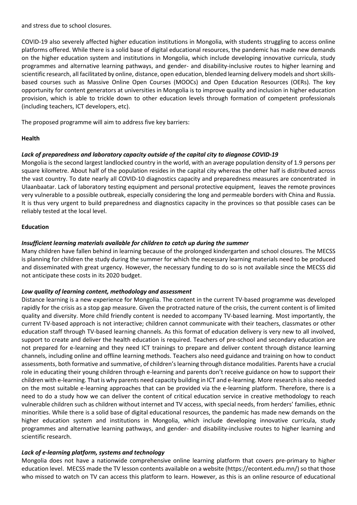and stress due to school closures.

COVID-19 also severely affected higher education institutions in Mongolia, with students struggling to access online platforms offered. While there is a solid base of digital educational resources, the pandemic has made new demands on the higher education system and institutions in Mongolia, which include developing innovative curricula, study programmes and alternative learning pathways, and gender- and disability-inclusive routes to higher learning and scientific research, all facilitated by online, distance, open education, blended learning delivery models and short skillsbased courses such as Massive Online Open Courses (MOOCs) and Open Education Resources (OERs). The key opportunity for content generators at universities in Mongolia is to improve quality and inclusion in higher education provision, which is able to trickle down to other education levels through formation of competent professionals (including teachers, ICT developers, etc).

The proposed programme will aim to address five key barriers:

#### **Health**

#### *Lack of preparedness and laboratory capacity outside of the capital city to diagnose COVID-19*

Mongolia is the second largest landlocked country in the world, with an average population density of 1.9 persons per square kilometre. About half of the population resides in the capital city whereas the other half is distributed across the vast country. To date nearly all COVID-10 diagnostics capacity and preparedness measures are concentrated in Ulaanbaatar. Lack of laboratory testing equipment and personal protective equipment, leaves the remote provinces very vulnerable to a possible outbreak, especially considering the long and permeable borders with China and Russia. It is thus very urgent to build preparedness and diagnostics capacity in the provinces so that possible cases can be reliably tested at the local level.

#### **Education**

#### *Insufficient learning materials available for children to catch up during the summer*

Many children have fallen behind in learning because of the prolonged kindergarten and school closures. The MECSS is planning for children the study during the summer for which the necessary learning materials need to be produced and disseminated with great urgency. However, the necessary funding to do so is not available since the MECSS did not anticipate these costs in its 2020 budget.

#### *Low quality of learning content, methodology and assessment*

Distance learning is a new experience for Mongolia. The content in the current TV-based programme was developed rapidly for the crisis as a stop gap measure. Given the protracted nature of the crisis, the current content is of limited quality and diversity. More child friendly content is needed to accompany TV-based learning. Most importantly, the current TV-based approach is not interactive; children cannot communicate with their teachers, classmates or other education staff through TV-based learning channels. As this format of education delivery is very new to all involved, support to create and deliver the health education is required. Teachers of pre-school and secondary education are not prepared for e-learning and they need ICT trainings to prepare and deliver content through distance learning channels, including online and offline learning methods. Teachers also need guidance and training on how to conduct assessments, both formative and summative, of children's learning through distance modalities. Parents have a crucial role in educating their young children through e-learning and parents don't receive guidance on how to support their children with e-learning. That is why parents need capacity building in ICT and e-learning. More research is also needed on the most suitable e-learning approaches that can be provided via the e-learning platform. Therefore, there is a need to do a study how we can deliver the content of critical education service in creative methodology to reach vulnerable children such as children without internet and TV access, with special needs, from herders' families, ethnic minorities. While there is a solid base of digital educational resources, the pandemic has made new demands on the higher education system and institutions in Mongolia, which include developing innovative curricula, study programmes and alternative learning pathways, and gender- and disability-inclusive routes to higher learning and scientific research.

#### *Lack of e-learning platform, systems and technology*

Mongolia does not have a nationwide comprehensive online learning platform that covers pre-primary to higher education level. MECSS made the TV lesson contents available on a website (https://econtent.edu.mn/) so that those who missed to watch on TV can access this platform to learn. However, as this is an online resource of educational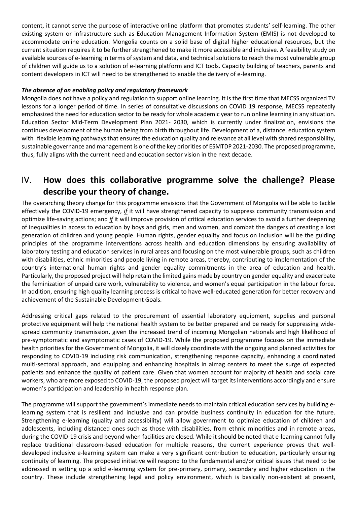content, it cannot serve the purpose of interactive online platform that promotes students' self-learning. The other existing system or infrastructure such as Education Management Information System (EMIS) is not developed to accommodate online education. Mongolia counts on a solid base of digital higher educational resources, but the current situation requires it to be further strengthened to make it more accessible and inclusive. A feasibility study on available sources of e-learning in terms of system and data, and technical solutions to reach the most vulnerable group of children will guide us to a solution of e-learning platform and ICT tools. Capacity building of teachers, parents and content developers in ICT will need to be strengthened to enable the delivery of e-learning.

#### *The absence of an enabling policy and regulatory framework*

Mongolia does not have a policy and regulation to support online learning. It is the first time that MECSS organized TV lessons for a longer period of time. In series of consultative discussions on COVID 19 response, MECSS repeatedly emphasized the need for education sector to be ready for whole academic year to run online learning in any situation. Education Sector Mid-Term Development Plan 2021- 2030, which is currently under finalization, envisions the continues development of the human being from birth throughout life. Development of a, distance, education system with flexible learning pathways that ensures the education quality and relevance at all level with shared responsibility, sustainable governance and management is one of the key priorities of ESMTDP 2021-2030. The proposed programme, thus, fully aligns with the current need and education sector vision in the next decade.

### IV. **How does this collaborative programme solve the challenge? Please describe your theory of change.**

The overarching theory change for this programme envisions that the Government of Mongolia will be able to tackle effectively the COVID-19 emergency, *if* it will have strengthened capacity to suppress community transmission and optimize life-saving actions; and *if* it will improve provision of critical education services to avoid a further deepening of inequalities in access to education by boys and girls, men and women, and combat the dangers of creating a lost generation of children and young people. Human rights, gender equality and focus on inclusion will be the guiding principles of the programme interventions across health and education dimensions by ensuring availability of laboratory testing and education services in rural areas and focusing on the most vulnerable groups, such as children with disabilities, ethnic minorities and people living in remote areas, thereby, contributing to implementation of the country's international human rights and gender equality commitments in the area of education and health. Particularly, the proposed project will help retain the limited gains made by country on gender equality and exacerbate the feminization of unpaid care work, vulnerability to violence, and women's equal participation in the labour force. In addition, ensuring high quality learning process is critical to have well-educated generation for better recovery and achievement of the Sustainable Development Goals.

Addressing critical gaps related to the procurement of essential laboratory equipment, supplies and personal protective equipment will help the national health system to be better prepared and be ready for suppressing widespread community transmission, given the increased trend of incoming Mongolian nationals and high likelihood of pre-symptomatic and asymptomatic cases of COVID-19. While the proposed programme focuses on the immediate health priorities for the Government of Mongolia, it will closely coordinate with the ongoing and planned activities for responding to COVID-19 including risk communication, strengthening response capacity, enhancing a coordinated multi-sectoral approach, and equipping and enhancing hospitals in aimag centers to meet the surge of expected patients and enhance the quality of patient care. Given that women account for majority of health and social care workers, who are more exposed to COVID-19, the proposed project will target its interventions accordingly and ensure women's participation and leadership in health response plan.

The programme will support the government's immediate needs to maintain critical education services by building elearning system that is resilient and inclusive and can provide business continuity in education for the future. Strengthening e-learning (quality and accessibility) will allow government to optimize education of children and adolescents, including distanced ones such as those with disabilities, from ethnic minorities and in remote areas, during the COVID-19 crisis and beyond when facilities are closed. While it should be noted that e-learning cannot fully replace traditional classroom-based education for multiple reasons, the current experience proves that welldeveloped inclusive e-learning system can make a very significant contribution to education, particularly ensuring continuity of learning. The proposed initiative will respond to the fundamental and/or critical issues that need to be addressed in setting up a solid e-learning system for pre-primary, primary, secondary and higher education in the country. These include strengthening legal and policy environment, which is basically non-existent at present,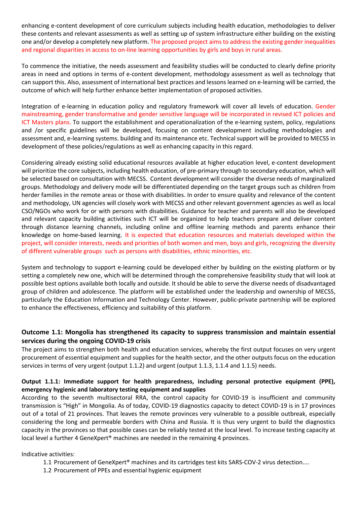enhancing e-content development of core curriculum subjects including health education, methodologies to deliver these contents and relevant assessments as well as setting up of system infrastructure either building on the existing one and/or develop a completely new platform. The proposed project aims to address the existing gender inequalities and regional disparities in access to on-line learning opportunities by girls and boys in rural areas.

To commence the initiative, the needs assessment and feasibility studies will be conducted to clearly define priority areas in need and options in terms of e-content development, methodology assessment as well as technology that can support this. Also, assessment of international best practices and lessons learned on e-learning will be carried, the outcome of which will help further enhance better implementation of proposed activities.

Integration of e-learning in education policy and regulatory framework will cover all levels of education. Gender mainstreaming, gender transformative and gender sensitive language will be incorporated in revised ICT policies and ICT Masters plans. To support the establishment and operationalization of the e-learning system, policy, regulations and /or specific guidelines will be developed, focusing on content development including methodologies and assessment and, e-learning systems. building and its maintenance etc. Technical support will be provided to MECSS in development of these policies/regulations as well as enhancing capacity in this regard.

Considering already existing solid educational resources available at higher education level, e-content development will prioritize the core subjects, including health education, of pre-primary through to secondary education, which will be selected based on consultation with MECSS. Content development will consider the diverse needs of marginalized groups. Methodology and delivery mode will be differentiated depending on the target groups such as children from herder families in the remote areas or those with disabilities. In order to ensure quality and relevance of the content and methodology, UN agencies will closely work with MECSS and other relevant government agencies as well as local CSO/NGOs who work for or with persons with disabilities. Guidance for teacher and parents will also be developed and relevant capacity building activities such ICT will be organized to help teachers prepare and deliver content through distance learning channels, including online and offline learning methods and parents enhance their knowledge on home-based learning. It is expected that education resources and materials developed within the project, will consider interests, needs and priorities of both women and men, boys and girls, recognizing the diversity of different vulnerable groups such as persons with disabilities, ethnic minorities, etc.

System and technology to support e-learning could be developed either by building on the existing platform or by setting a completely new one, which will be determined through the comprehensive feasibility study that will look at possible best options available both locally and outside. It should be able to serve the diverse needs of disadvantaged group of children and adolescence. The platform will be established under the leadership and ownership of MECSS, particularly the Education Information and Technology Center. However, public-private partnership will be explored to enhance the effectiveness, efficiency and suitability of this platform.

#### **Outcome 1.1: Mongolia has strengthened its capacity to suppress transmission and maintain essential services during the ongoing COVID-19 crisis**

The project aims to strengthen both health and education services, whereby the first output focuses on very urgent procurement of essential equipment and supplies for the health sector, and the other outputs focus on the education services in terms of very urgent (output 1.1.2) and urgent (output 1.1.3, 1.1.4 and 1.1.5) needs.

#### **Output 1.1.1: Immediate support for health preparedness, including personal protective equipment (PPE), emergency hygienic and laboratory testing equipment and supplies**

According to the seventh multisectoral RRA, the control capacity for COVID-19 is insufficient and community transmission is "High" in Mongolia. As of today, COVID-19 diagnostics capacity to detect COVID-19 is in 17 provinces out of a total of 21 provinces. That leaves the remote provinces very vulnerable to a possible outbreak, especially considering the long and permeable borders with China and Russia. It is thus very urgent to build the diagnostics capacity in the provinces so that possible cases can be reliably tested at the local level. To increase testing capacity at local level a further 4 GeneXpert® machines are needed in the remaining 4 provinces.

Indicative activities:

- 1.1 Procurement of GeneXpert® machines and its cartridges test kits SARS-COV-2 virus detection....
- 1.2 Procurement of PPEs and essential hygienic equipment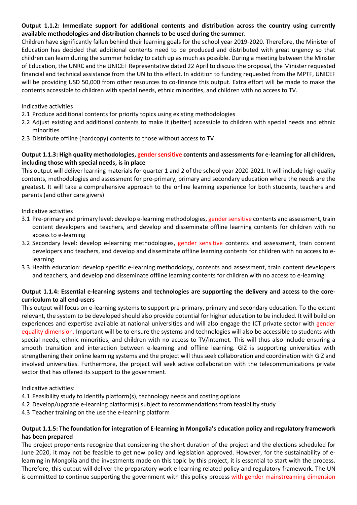#### **Output 1.1.2: Immediate support for additional contents and distribution across the country using currently available methodologies and distribution channels to be used during the summer.**

Children have significantly fallen behind their learning goals for the school year 2019-2020. Therefore, the Minister of Education has decided that additional contents need to be produced and distributed with great urgency so that children can learn during the summer holiday to catch up as much as possible. During a meeting between the Minster of Education, the UNRC and the UNICEF Representative dated 22 April to discuss the proposal, the Minister requested financial and technical assistance from the UN to this effect. In addition to funding requested from the MPTF, UNICEF will be providing USD 50,000 from other resources to co-finance this output. Extra effort will be made to make the contents accessible to children with special needs, ethnic minorities, and children with no access to TV.

#### Indicative activities

- 2.1 Produce additional contents for priority topics using existing methodologies
- 2.2 Adjust existing and additional contents to make it (better) accessible to children with special needs and ethnic minorities
- 2.3 Distribute offline (hardcopy) contents to those without access to TV

#### **Output 1.1.3: High quality methodologies, gender sensitive contents and assessments for e-learning for all children, including those with special needs, is in place**

This output will deliver learning materials for quarter 1 and 2 of the school year 2020-2021. It will include high quality contents, methodologies and assessment for pre-primary, primary and secondary education where the needs are the greatest. It will take a comprehensive approach to the online learning experience for both students, teachers and parents (and other care givers)

#### Indicative activities

- 3.1 Pre-primary and primary level: develop e-learning methodologies, gender sensitive contents and assessment, train content developers and teachers, and develop and disseminate offline learning contents for children with no access to e-learning
- 3.2 Secondary level: develop e-learning methodologies, gender sensitive contents and assessment, train content developers and teachers, and develop and disseminate offline learning contents for children with no access to elearning
- 3.3 Health education: develop specific e-learning methodology, contents and assessment, train content developers and teachers, and develop and disseminate offline learning contents for children with no access to e-learning

#### **Output 1.1.4: Essential e-learning systems and technologies are supporting the delivery and access to the corecurriculum to all end-users**

This output will focus on e-learning systems to support pre-primary, primary and secondary education. To the extent relevant, the system to be developed should also provide potential for higher education to be included. It will build on experiences and expertise available at national universities and will also engage the ICT private sector with gender equality dimension. Important will be to ensure the systems and technologies will also be accessible to students with special needs, ethnic minorities, and children with no access to TV/internet. This will thus also include ensuring a smooth transition and interaction between e-learning and offline learning. GIZ is supporting universities with strengthening their online learning systems and the project will thus seek collaboration and coordination with GIZ and involved universities. Furthermore, the project will seek active collaboration with the telecommunications private sector that has offered its support to the government.

#### Indicative activities:

- 4.1 Feasibility study to identify platform(s), technology needs and costing options
- 4.2 Develop/upgrade e-learning platform(s) subject to recommendations from feasibility study
- 4.3 Teacher training on the use the e-learning platform

#### **Output 1.1.5: The foundation for integration of E-learning in Mongolia's education policy and regulatory framework has been prepared**

The project proponents recognize that considering the short duration of the project and the elections scheduled for June 2020, it may not be feasible to get new policy and legislation approved. However, for the sustainability of elearning in Mongolia and the investments made on this topic by this project, it is essential to start with the process. Therefore, this output will deliver the preparatory work e-learning related policy and regulatory framework. The UN is committed to continue supporting the government with this policy process with gender mainstreaming dimension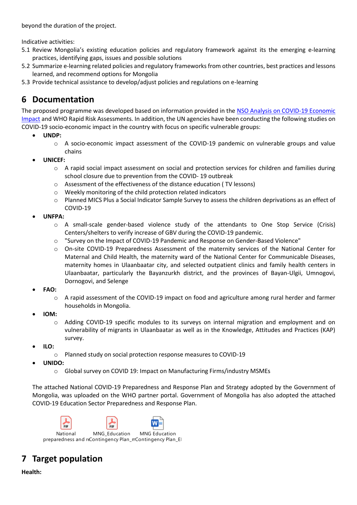beyond the duration of the project.

Indicative activities:

- 5.1 Review Mongolia's existing education policies and regulatory framework against its the emerging e-learning practices, identifying gaps, issues and possible solutions
- 5.2 Summarize e-learning related policies and regulatory frameworks from other countries, best practices and lessons learned, and recommend options for Mongolia
- 5.3 Provide technical assistance to develop/adjust policies and regulations on e-learning

## **6 Documentation**

The proposed programme was developed based on information provided in the [NSO Analysis on COVID-19 Economic](http://1212.mn/BookLibraryDownload.ashx?url=Coronavirus_and_the_economy.pdf&ln=En)  [Impact](http://1212.mn/BookLibraryDownload.ashx?url=Coronavirus_and_the_economy.pdf&ln=En) and WHO Rapid Risk Assessments. In addition, the UN agencies have been conducting the following studies on COVID-19 socio-economic impact in the country with focus on specific vulnerable groups:

- **UNDP:** 
	- o A socio-economic impact assessment of the COVID-19 pandemic on vulnerable groups and value chains
- **UNICEF:** 
	- $\circ$  A rapid social impact assessment on social and protection services for children and families during school closure due to prevention from the COVID- 19 outbreak
	- o Assessment of the effectiveness of the distance education ( TV lessons)
	- o Weekly monitoring of the child protection related indicators
	- o Planned MICS Plus a Social Indicator Sample Survey to assess the children deprivations as an effect of COVID-19
- **UNFPA:** 
	- o A small-scale gender-based violence study of the attendants to One Stop Service (Crisis) Centers/shelters to verify increase of GBV during the COVID-19 pandemic.
	- o "Survey on the Impact of COVID-19 Pandemic and Response on Gender-Based Violence"
	- o On-site COVID-19 Preparedness Assessment of the maternity services of the National Center for Maternal and Child Health, the maternity ward of the National Center for Communicable Diseases, maternity homes in Ulaanbaatar city, and selected outpatient clinics and family health centers in Ulaanbaatar, particularly the Bayanzurkh district, and the provinces of Bayan-Ulgii, Umnogovi, Dornogovi, and Selenge
- **FAO:**
	- $\circ$  A rapid assessment of the COVID-19 impact on food and agriculture among rural herder and farmer households in Mongolia.
- **IOM:**
	- o Adding COVID-19 specific modules to its surveys on internal migration and employment and on vulnerability of migrants in Ulaanbaatar as well as in the Knowledge, Attitudes and Practices (KAP) survey.
- **ILO:**
	- o Planned study on social protection response measures to COVID-19
- **UNIDO:** 
	- o Global survey on COVID 19: Impact on Manufacturing Firms/industry MSMEs

The attached National COVID-19 Preparedness and Response Plan and Strategy adopted by the Government of Mongolia, was uploaded on the WHO partner portal. Government of Mongolia has also adopted the attached COVID-19 Education Sector Preparedness and Response Plan.



## **7 Target population**

**Health:**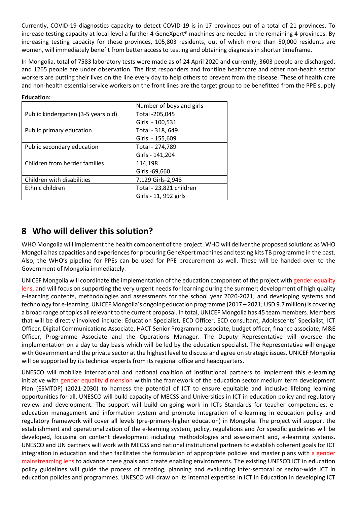Currently, COVID-19 diagnostics capacity to detect COVID-19 is in 17 provinces out of a total of 21 provinces. To increase testing capacity at local level a further 4 GeneXpert® machines are needed in the remaining 4 provinces. By increasing testing capacity for these provinces, 105,803 residents, out of which more than 50,000 residents are women, will immediately benefit from better access to testing and obtaining diagnosis in shorter timeframe.

In Mongolia, total of 7583 laboratory tests were made as of 24 April 2020 and currently, 3603 people are discharged, and 1265 people are under observation. The first responders and frontline healthcare and other non-health sector workers are putting their lives on the line every day to help others to prevent from the disease. These of health care and non-health essential service workers on the front lines are the target group to be benefitted from the PPE supply

| <b>Education:</b> |
|-------------------|
|-------------------|

|                                     | Number of boys and girls |
|-------------------------------------|--------------------------|
| Public kindergarten (3-5 years old) | Total -205,045           |
|                                     | Girls - 100,531          |
| Public primary education            | Total - 318, 649         |
|                                     | Girls - 155,609          |
| Public secondary education          | Total - 274,789          |
|                                     | Girls - 141,204          |
| Children from herder families       | 114,198                  |
|                                     | Girls -69,660            |
| Children with disabilities          | 7,129 Girls-2,948        |
| Ethnic children                     | Total - 23,821 children  |
|                                     | Girls - 11, 992 girls    |

### **8 Who will deliver this solution?**

WHO Mongolia will implement the health component of the project. WHO will deliver the proposed solutions as WHO Mongolia has capacities and experiences for procuring GeneXpert machines and testing kits TB programme in the past. Also, the WHO's pipeline for PPEs can be used for PPE procurement as well. These will be handed over to the Government of Mongolia immediately.

UNICEF Mongolia will coordinate the implementation of the education component of the project with gender equality lens, and will focus on supporting the very urgent needs for learning during the summer; development of high quality e-learning contents, methodologies and assessments for the school year 2020-2021; and developing systems and technology for e-learning. UNICEF Mongolia's ongoing education programme (2017 – 2021; USD 9.7 million) is covering a broad range of topics all relevant to the current proposal. In total, UNICEF Mongolia has 45 team members. Members that will be directly involved include: Education Specialist, ECD Officer, ECD consultant, Adolescents' Specialist, ICT Officer, Digital Communications Associate, HACT Senior Programme associate, budget officer, finance associate, M&E Officer, Programme Associate and the Operations Manager. The Deputy Representative will oversee the implementation on a day to day basis which will be led by the education specialist. The Representative will engage with Government and the private sector at the highest level to discuss and agree on strategic issues. UNICEF Mongolia will be supported by its technical experts from its regional office and headquarters.

UNESCO will mobilize international and national coalition of institutional partners to implement this e-learning initiative with gender equality dimension within the framework of the education sector medium term development Plan (ESMTDP) (2021-2030) to harness the potential of ICT to ensure equitable and inclusive lifelong learning opportunities for all. UNESCO will build capacity of MECSS and Universities in ICT in education policy and regulatory review and development. The support will build on-going work in ICTs Standards for teacher competencies, eeducation management and information system and promote integration of e-learning in education policy and regulatory framework will cover all levels (pre-primary-higher education) in Mongolia. The project will support the establishment and operationalization of the e-learning system, policy, regulations and /or specific guidelines will be developed, focusing on content development including methodologies and assessment and, e-learning systems. UNESCO and UN partners will work with MECSS and national institutional partners to establish coherent goals for ICT integration in education and then facilitates the formulation of appropriate policies and master plans with a gender mainstreaming lens to advance these goals and create enabling environments. The existing UNESCO ICT in education policy guidelines will guide the process of creating, planning and evaluating inter-sectoral or sector-wide ICT in education policies and programmes. UNESCO will draw on its internal expertise in ICT in Education in developing ICT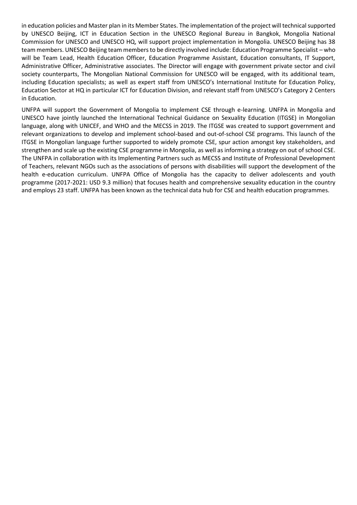in education policies and Master plan in its Member States. The implementation of the project will technical supported by UNESCO Beijing, ICT in Education Section in the UNESCO Regional Bureau in Bangkok, Mongolia National Commission for UNESCO and UNESCO HQ, will support project implementation in Mongolia. UNESCO Beijing has 38 team members. UNESCO Beijing team members to be directly involved include: Education Programme Specialist – who will be Team Lead, Health Education Officer, Education Programme Assistant, Education consultants, IT Support, Administrative Officer, Administrative associates. The Director will engage with government private sector and civil society counterparts, The Mongolian National Commission for UNESCO will be engaged, with its additional team, including Education specialists; as well as expert staff from UNESCO's International Institute for Education Policy, Education Sector at HQ in particular ICT for Education Division, and relevant staff from UNESCO's Category 2 Centers in Education.

UNFPA will support the Government of Mongolia to implement CSE through e-learning. UNFPA in Mongolia and UNESCO have jointly launched the International Technical Guidance on Sexuality Education (ITGSE) in Mongolian language, along with UNICEF, and WHO and the MECSS in 2019. The ITGSE was created to support government and relevant organizations to develop and implement school-based and out-of-school CSE programs. This launch of the ITGSE in Mongolian language further supported to widely promote CSE, spur action amongst key stakeholders, and strengthen and scale up the existing CSE programme in Mongolia, as well as informing a strategy on out of school CSE. The UNFPA in collaboration with its Implementing Partners such as MECSS and Institute of Professional Development of Teachers, relevant NGOs such as the associations of persons with disabilities will support the development of the health e-education curriculum. UNFPA Office of Mongolia has the capacity to deliver adolescents and youth programme (2017-2021: USD 9.3 million) that focuses health and comprehensive sexuality education in the country and employs 23 staff. UNFPA has been known as the technical data hub for CSE and health education programmes.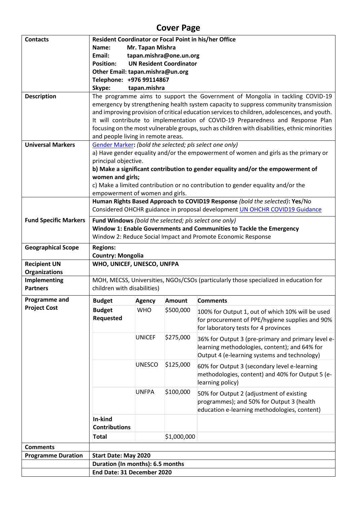# **Cover Page**

| <b>Contacts</b>                 | Resident Coordinator or Focal Point in his/her Office |               |                                |                                                                                                                                                                                 |  |  |
|---------------------------------|-------------------------------------------------------|---------------|--------------------------------|---------------------------------------------------------------------------------------------------------------------------------------------------------------------------------|--|--|
|                                 | Mr. Tapan Mishra<br>Name:                             |               |                                |                                                                                                                                                                                 |  |  |
|                                 | Email:<br>tapan.mishra@one.un.org                     |               |                                |                                                                                                                                                                                 |  |  |
|                                 | <b>Position:</b>                                      |               | <b>UN Resident Coordinator</b> |                                                                                                                                                                                 |  |  |
|                                 | Other Email: tapan.mishra@un.org                      |               |                                |                                                                                                                                                                                 |  |  |
|                                 | Telephone: +976 99114867                              |               |                                |                                                                                                                                                                                 |  |  |
|                                 | Skype:                                                | tapan.mishra  |                                |                                                                                                                                                                                 |  |  |
| <b>Description</b>              |                                                       |               |                                | The programme aims to support the Government of Mongolia in tackling COVID-19                                                                                                   |  |  |
|                                 |                                                       |               |                                | emergency by strengthening health system capacity to suppress community transmission                                                                                            |  |  |
|                                 |                                                       |               |                                | and improving provision of critical education services to children, adolescences, and youth.<br>It will contribute to implementation of COVID-19 Preparedness and Response Plan |  |  |
|                                 |                                                       |               |                                | focusing on the most vulnerable groups, such as children with disabilities, ethnic minorities                                                                                   |  |  |
|                                 | and people living in remote areas.                    |               |                                |                                                                                                                                                                                 |  |  |
| <b>Universal Markers</b>        |                                                       |               |                                | Gender Marker: (bold the selected; pls select one only)                                                                                                                         |  |  |
|                                 |                                                       |               |                                | a) Have gender equality and/or the empowerment of women and girls as the primary or                                                                                             |  |  |
|                                 | principal objective.                                  |               |                                |                                                                                                                                                                                 |  |  |
|                                 |                                                       |               |                                | b) Make a significant contribution to gender equality and/or the empowerment of                                                                                                 |  |  |
|                                 | women and girls;                                      |               |                                |                                                                                                                                                                                 |  |  |
|                                 |                                                       |               |                                | c) Make a limited contribution or no contribution to gender equality and/or the                                                                                                 |  |  |
|                                 | empowerment of women and girls.                       |               |                                |                                                                                                                                                                                 |  |  |
|                                 |                                                       |               |                                | Human Rights Based Approach to COVID19 Response (bold the selected): Yes/No                                                                                                     |  |  |
|                                 |                                                       |               |                                | Considered OHCHR guidance in proposal development UN OHCHR COVID19 Guidance                                                                                                     |  |  |
| <b>Fund Specific Markers</b>    | Fund Windows (bold the selected; pls select one only) |               |                                |                                                                                                                                                                                 |  |  |
|                                 |                                                       |               |                                | Window 1: Enable Governments and Communities to Tackle the Emergency                                                                                                            |  |  |
|                                 |                                                       |               |                                | Window 2: Reduce Social Impact and Promote Economic Response                                                                                                                    |  |  |
| <b>Geographical Scope</b>       | <b>Regions:</b>                                       |               |                                |                                                                                                                                                                                 |  |  |
|                                 | <b>Country: Mongolia</b>                              |               |                                |                                                                                                                                                                                 |  |  |
| <b>Recipient UN</b>             | WHO, UNICEF, UNESCO, UNFPA                            |               |                                |                                                                                                                                                                                 |  |  |
| Organizations                   |                                                       |               |                                |                                                                                                                                                                                 |  |  |
| Implementing<br><b>Partners</b> |                                                       |               |                                | MOH, MECSS, Universities, NGOs/CSOs (particularly those specialized in education for                                                                                            |  |  |
|                                 | children with disabilities)                           |               |                                |                                                                                                                                                                                 |  |  |
| <b>Programme and</b>            | <b>Budget</b>                                         | <b>Agency</b> | Amount                         | <b>Comments</b>                                                                                                                                                                 |  |  |
| <b>Project Cost</b>             | <b>Budget</b>                                         | <b>WHO</b>    | \$500,000                      | 100% for Output 1, out of which 10% will be used                                                                                                                                |  |  |
|                                 | <b>Requested</b>                                      |               |                                | for procurement of PPE/hygiene supplies and 90%                                                                                                                                 |  |  |
|                                 |                                                       |               |                                | for laboratory tests for 4 provinces                                                                                                                                            |  |  |
|                                 |                                                       | <b>UNICEF</b> | \$275,000                      | 36% for Output 3 (pre-primary and primary level e-                                                                                                                              |  |  |
|                                 |                                                       |               |                                | learning methodologies, content); and 64% for                                                                                                                                   |  |  |
|                                 |                                                       |               |                                | Output 4 (e-learning systems and technology)                                                                                                                                    |  |  |
|                                 |                                                       | <b>UNESCO</b> | \$125,000                      | 60% for Output 3 (secondary level e-learning                                                                                                                                    |  |  |
|                                 |                                                       |               |                                | methodologies, content) and 40% for Output 5 (e-                                                                                                                                |  |  |
|                                 |                                                       |               |                                | learning policy)                                                                                                                                                                |  |  |
|                                 |                                                       | <b>UNFPA</b>  | \$100,000                      | 50% for Output 2 (adjustment of existing                                                                                                                                        |  |  |
|                                 |                                                       |               |                                | programmes); and 50% for Output 3 (health                                                                                                                                       |  |  |
|                                 |                                                       |               |                                | education e-learning methodologies, content)                                                                                                                                    |  |  |
|                                 | In-kind                                               |               |                                |                                                                                                                                                                                 |  |  |
|                                 | <b>Contributions</b>                                  |               |                                |                                                                                                                                                                                 |  |  |
|                                 | <b>Total</b>                                          |               | \$1,000,000                    |                                                                                                                                                                                 |  |  |
| <b>Comments</b>                 |                                                       |               |                                |                                                                                                                                                                                 |  |  |
| <b>Programme Duration</b>       | <b>Start Date: May 2020</b>                           |               |                                |                                                                                                                                                                                 |  |  |
|                                 | Duration (In months): 6.5 months                      |               |                                |                                                                                                                                                                                 |  |  |
|                                 | End Date: 31 December 2020                            |               |                                |                                                                                                                                                                                 |  |  |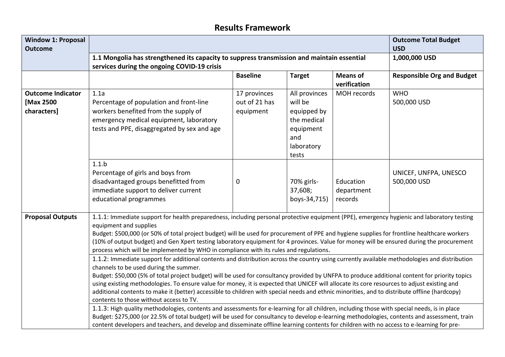## **Results Framework**

| <b>Window 1: Proposal</b><br><b>Outcome</b>          | <b>Outcome Total Budget</b><br><b>USD</b>                                                                                                                                                                                                                                                                                                                                                                                                                                                                                                                                                                                                                                            |                                            |                                                                                                   |                                    |                                      |  |  |
|------------------------------------------------------|--------------------------------------------------------------------------------------------------------------------------------------------------------------------------------------------------------------------------------------------------------------------------------------------------------------------------------------------------------------------------------------------------------------------------------------------------------------------------------------------------------------------------------------------------------------------------------------------------------------------------------------------------------------------------------------|--------------------------------------------|---------------------------------------------------------------------------------------------------|------------------------------------|--------------------------------------|--|--|
|                                                      | 1.1 Mongolia has strengthened its capacity to suppress transmission and maintain essential<br>services during the ongoing COVID-19 crisis                                                                                                                                                                                                                                                                                                                                                                                                                                                                                                                                            | 1,000,000 USD                              |                                                                                                   |                                    |                                      |  |  |
|                                                      |                                                                                                                                                                                                                                                                                                                                                                                                                                                                                                                                                                                                                                                                                      | <b>Baseline</b>                            | <b>Target</b>                                                                                     | <b>Means of</b><br>verification    | <b>Responsible Org and Budget</b>    |  |  |
| <b>Outcome Indicator</b><br>[Max 2500<br>characters] | 1.1a<br>Percentage of population and front-line<br>workers benefited from the supply of<br>emergency medical equipment, laboratory<br>tests and PPE, disaggregated by sex and age                                                                                                                                                                                                                                                                                                                                                                                                                                                                                                    | 17 provinces<br>out of 21 has<br>equipment | All provinces<br>will be<br>equipped by<br>the medical<br>equipment<br>and<br>laboratory<br>tests | MOH records                        | <b>WHO</b><br>500,000 USD            |  |  |
|                                                      | 1.1.b<br>Percentage of girls and boys from<br>disadvantaged groups benefitted from<br>immediate support to deliver current<br>educational programmes                                                                                                                                                                                                                                                                                                                                                                                                                                                                                                                                 | 0                                          | 70% girls-<br>37,608;<br>boys-34,715)                                                             | Education<br>department<br>records | UNICEF, UNFPA, UNESCO<br>500,000 USD |  |  |
| <b>Proposal Outputs</b>                              | 1.1.1: Immediate support for health preparedness, including personal protective equipment (PPE), emergency hygienic and laboratory testing<br>equipment and supplies<br>Budget: \$500,000 (or 50% of total project budget) will be used for procurement of PPE and hygiene supplies for frontline healthcare workers<br>(10% of output budget) and Gen Xpert testing laboratory equipment for 4 provinces. Value for money will be ensured during the procurement<br>process which will be implemented by WHO in compliance with its rules and regulations.                                                                                                                          |                                            |                                                                                                   |                                    |                                      |  |  |
|                                                      | 1.1.2: Immediate support for additional contents and distribution across the country using currently available methodologies and distribution<br>channels to be used during the summer.<br>Budget: \$50,000 (5% of total project budget) will be used for consultancy provided by UNFPA to produce additional content for priority topics<br>using existing methodologies. To ensure value for money, it is expected that UNICEF will allocate its core resources to adjust existing and<br>additional contents to make it (better) accessible to children with special needs and ethnic minorities, and to distribute offline (hardcopy)<br>contents to those without access to TV. |                                            |                                                                                                   |                                    |                                      |  |  |
|                                                      | 1.1.3: High quality methodologies, contents and assessments for e-learning for all children, including those with special needs, is in place<br>Budget: \$275,000 (or 22.5% of total budget) will be used for consultancy to develop e-learning methodologies, contents and assessment, train<br>content developers and teachers, and develop and disseminate offline learning contents for children with no access to e-learning for pre-                                                                                                                                                                                                                                           |                                            |                                                                                                   |                                    |                                      |  |  |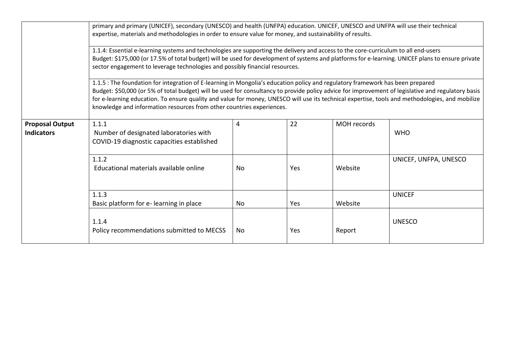|                                             | primary and primary (UNICEF), secondary (UNESCO) and health (UNFPA) education. UNICEF, UNESCO and UNFPA will use their technical<br>expertise, materials and methodologies in order to ensure value for money, and sustainability of results.                                                                                                                                                                                                                                                                    |     |            |             |                       |  |  |  |
|---------------------------------------------|------------------------------------------------------------------------------------------------------------------------------------------------------------------------------------------------------------------------------------------------------------------------------------------------------------------------------------------------------------------------------------------------------------------------------------------------------------------------------------------------------------------|-----|------------|-------------|-----------------------|--|--|--|
|                                             | 1.1.4: Essential e-learning systems and technologies are supporting the delivery and access to the core-curriculum to all end-users<br>Budget: \$175,000 (or 17.5% of total budget) will be used for development of systems and platforms for e-learning. UNICEF plans to ensure private<br>sector engagement to leverage technologies and possibly financial resources.                                                                                                                                         |     |            |             |                       |  |  |  |
|                                             | 1.1.5 : The foundation for integration of E-learning in Mongolia's education policy and regulatory framework has been prepared<br>Budget: \$50,000 (or 5% of total budget) will be used for consultancy to provide policy advice for improvement of legislative and regulatory basis<br>for e-learning education. To ensure quality and value for money, UNESCO will use its technical expertise, tools and methodologies, and mobilize<br>knowledge and information resources from other countries experiences. |     |            |             |                       |  |  |  |
| <b>Proposal Output</b><br><b>Indicators</b> | 1.1.1<br>Number of designated laboratories with<br>COVID-19 diagnostic capacities established                                                                                                                                                                                                                                                                                                                                                                                                                    | 4   | 22         | MOH records | <b>WHO</b>            |  |  |  |
|                                             | 1.1.2<br>Educational materials available online                                                                                                                                                                                                                                                                                                                                                                                                                                                                  | No. | <b>Yes</b> | Website     | UNICEF, UNFPA, UNESCO |  |  |  |
|                                             | 1.1.3<br>Basic platform for e-learning in place                                                                                                                                                                                                                                                                                                                                                                                                                                                                  | No. | Yes        | Website     | <b>UNICEF</b>         |  |  |  |
|                                             | 1.1.4<br>Policy recommendations submitted to MECSS                                                                                                                                                                                                                                                                                                                                                                                                                                                               | No. | <b>Yes</b> | Report      | <b>UNESCO</b>         |  |  |  |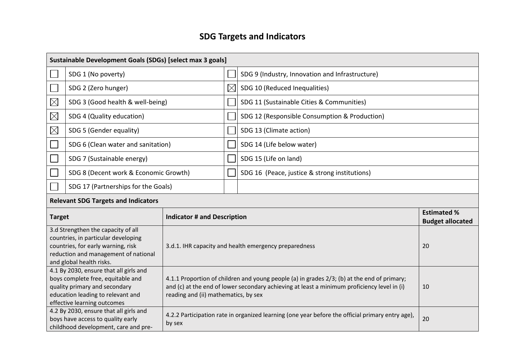# **SDG Targets and Indicators**

|                                                     | Sustainable Development Goals (SDGs) [select max 3 goals]                                                                                                                           |                                                                                                                                                                                                                                          |                                                                                                        |                                                 |  |  |  |  |
|-----------------------------------------------------|-------------------------------------------------------------------------------------------------------------------------------------------------------------------------------------|------------------------------------------------------------------------------------------------------------------------------------------------------------------------------------------------------------------------------------------|--------------------------------------------------------------------------------------------------------|-------------------------------------------------|--|--|--|--|
|                                                     | SDG 1 (No poverty)                                                                                                                                                                  |                                                                                                                                                                                                                                          |                                                                                                        | SDG 9 (Industry, Innovation and Infrastructure) |  |  |  |  |
|                                                     | SDG 2 (Zero hunger)                                                                                                                                                                 |                                                                                                                                                                                                                                          | $\boxtimes$                                                                                            | SDG 10 (Reduced Inequalities)                   |  |  |  |  |
| $\boxtimes$                                         | SDG 3 (Good health & well-being)                                                                                                                                                    |                                                                                                                                                                                                                                          |                                                                                                        | SDG 11 (Sustainable Cities & Communities)       |  |  |  |  |
| $\boxtimes$                                         | SDG 4 (Quality education)                                                                                                                                                           |                                                                                                                                                                                                                                          |                                                                                                        | SDG 12 (Responsible Consumption & Production)   |  |  |  |  |
| $\boxtimes$                                         | SDG 5 (Gender equality)                                                                                                                                                             |                                                                                                                                                                                                                                          |                                                                                                        | SDG 13 (Climate action)                         |  |  |  |  |
|                                                     | SDG 6 (Clean water and sanitation)                                                                                                                                                  |                                                                                                                                                                                                                                          |                                                                                                        | SDG 14 (Life below water)                       |  |  |  |  |
|                                                     | SDG 7 (Sustainable energy)                                                                                                                                                          |                                                                                                                                                                                                                                          |                                                                                                        | SDG 15 (Life on land)                           |  |  |  |  |
|                                                     | SDG 8 (Decent work & Economic Growth)                                                                                                                                               |                                                                                                                                                                                                                                          |                                                                                                        | SDG 16 (Peace, justice & strong institutions)   |  |  |  |  |
|                                                     | SDG 17 (Partnerships for the Goals)                                                                                                                                                 |                                                                                                                                                                                                                                          |                                                                                                        |                                                 |  |  |  |  |
|                                                     | <b>Relevant SDG Targets and Indicators</b>                                                                                                                                          |                                                                                                                                                                                                                                          |                                                                                                        |                                                 |  |  |  |  |
| <b>Indicator # and Description</b><br><b>Target</b> |                                                                                                                                                                                     |                                                                                                                                                                                                                                          |                                                                                                        | <b>Estimated %</b><br><b>Budget allocated</b>   |  |  |  |  |
|                                                     | 3.d Strengthen the capacity of all<br>countries, in particular developing<br>countries, for early warning, risk<br>reduction and management of national<br>and global health risks. | 3.d.1. IHR capacity and health emergency preparedness                                                                                                                                                                                    |                                                                                                        | 20                                              |  |  |  |  |
|                                                     | 4.1 By 2030, ensure that all girls and<br>boys complete free, equitable and<br>quality primary and secondary<br>education leading to relevant and<br>effective learning outcomes    | 4.1.1 Proportion of children and young people (a) in grades 2/3; (b) at the end of primary;<br>and (c) at the end of lower secondary achieving at least a minimum proficiency level in (i)<br>10<br>reading and (ii) mathematics, by sex |                                                                                                        |                                                 |  |  |  |  |
|                                                     | 4.2 By 2030, ensure that all girls and<br>boys have access to quality early<br>childhood development, care and pre-                                                                 | by sex                                                                                                                                                                                                                                   | 4.2.2 Participation rate in organized learning (one year before the official primary entry age),<br>20 |                                                 |  |  |  |  |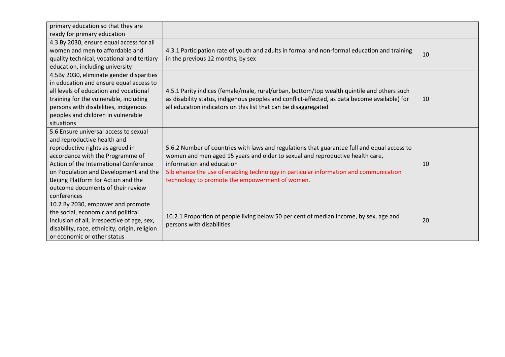| primary education so that they are<br>ready for primary education                                                                                                                                                                                                                                                          |                                                                                                                                                                                                                                                                                                                                                       |    |
|----------------------------------------------------------------------------------------------------------------------------------------------------------------------------------------------------------------------------------------------------------------------------------------------------------------------------|-------------------------------------------------------------------------------------------------------------------------------------------------------------------------------------------------------------------------------------------------------------------------------------------------------------------------------------------------------|----|
| 4.3 By 2030, ensure equal access for all<br>women and men to affordable and<br>quality technical, vocational and tertiary<br>education, including university                                                                                                                                                               | 4.3.1 Participation rate of youth and adults in formal and non-formal education and training<br>in the previous 12 months, by sex                                                                                                                                                                                                                     | 10 |
| 4.5By 2030, eliminate gender disparities<br>in education and ensure equal access to<br>all levels of education and vocational<br>training for the vulnerable, including<br>persons with disabilities, indigenous<br>peoples and children in vulnerable<br>situations                                                       | 4.5.1 Parity indices (female/male, rural/urban, bottom/top wealth quintile and others such<br>as disability status, indigenous peoples and conflict-affected, as data become available) for<br>all education indicators on this list that can be disaggregated                                                                                        | 10 |
| 5.6 Ensure universal access to sexual<br>and reproductive health and<br>reproductive rights as agreed in<br>accordance with the Programme of<br>Action of the International Conference<br>on Population and Development and the<br>Beijing Platform for Action and the<br>outcome documents of their review<br>conferences | 5.6.2 Number of countries with laws and regulations that guarantee full and equal access to<br>women and men aged 15 years and older to sexual and reproductive health care,<br>information and education<br>5.b ehance the use of enabling technology in particular information and communication<br>technology to promote the empowerment of women. | 10 |
| 10.2 By 2030, empower and promote<br>the social, economic and political<br>inclusion of all, irrespective of age, sex,<br>disability, race, ethnicity, origin, religion<br>or economic or other status                                                                                                                     | 10.2.1 Proportion of people living below 50 per cent of median income, by sex, age and<br>persons with disabilities                                                                                                                                                                                                                                   | 20 |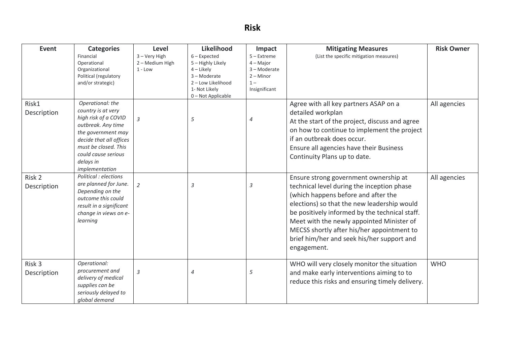# **Risk**

| <b>Event</b>          | <b>Categories</b>                                                                                                                                                                                                   | Level                                         | Likelihood                                                                                                                   | Impact                                                                              | <b>Mitigating Measures</b>                                                                                                                                                                                                                                                                                                                                                          | <b>Risk Owner</b> |
|-----------------------|---------------------------------------------------------------------------------------------------------------------------------------------------------------------------------------------------------------------|-----------------------------------------------|------------------------------------------------------------------------------------------------------------------------------|-------------------------------------------------------------------------------------|-------------------------------------------------------------------------------------------------------------------------------------------------------------------------------------------------------------------------------------------------------------------------------------------------------------------------------------------------------------------------------------|-------------------|
|                       | Financial<br>Operational<br>Organizational<br>Political (regulatory<br>and/or strategic)                                                                                                                            | 3 - Very High<br>2 - Medium High<br>$1 - Low$ | $6$ – Expected<br>5 - Highly Likely<br>4 - Likely<br>3-Moderate<br>2 - Low Likelihood<br>1- Not Likely<br>0 - Not Applicable | $5 -$ Extreme<br>$4 -$ Major<br>3-Moderate<br>$2 -$ Minor<br>$1 -$<br>Insignificant | (List the specific mitigation measures)                                                                                                                                                                                                                                                                                                                                             |                   |
| Risk1<br>Description  | Operational: the<br>country is at very<br>high risk of a COVID<br>outbreak. Any time<br>the government may<br>decide that all offices<br>must be closed. This<br>could cause serious<br>delays in<br>implementation | 3                                             | 5                                                                                                                            | 4                                                                                   | Agree with all key partners ASAP on a<br>detailed workplan<br>At the start of the project, discuss and agree<br>on how to continue to implement the project<br>if an outbreak does occur.<br>Ensure all agencies have their Business<br>Continuity Plans up to date.                                                                                                                | All agencies      |
| Risk 2<br>Description | Political : elections<br>are planned for June.<br>Depending on the<br>outcome this could<br>result in a significant<br>change in views on e-<br>learning                                                            | $\overline{2}$                                | 3                                                                                                                            | 3                                                                                   | Ensure strong government ownership at<br>technical level during the inception phase<br>(which happens before and after the<br>elections) so that the new leadership would<br>be positively informed by the technical staff.<br>Meet with the newly appointed Minister of<br>MECSS shortly after his/her appointment to<br>brief him/her and seek his/her support and<br>engagement. | All agencies      |
| Risk 3<br>Description | Operational:<br>procurement and<br>delivery of medical<br>supplies can be<br>seriously delayed to<br>global demand                                                                                                  | $\mathfrak{Z}$                                | 4                                                                                                                            | 5                                                                                   | WHO will very closely monitor the situation<br>and make early interventions aiming to to<br>reduce this risks and ensuring timely delivery.                                                                                                                                                                                                                                         | <b>WHO</b>        |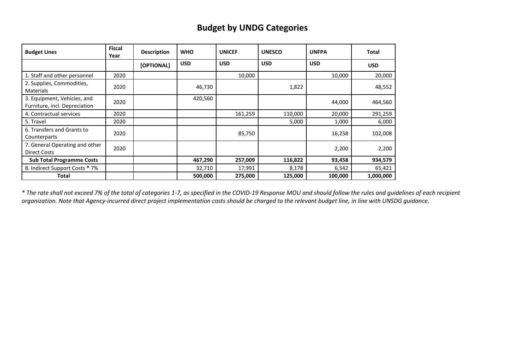## **Budget by UNDG Categories**

| <b>Budget Lines</b>                                          | <b>Fiscal</b><br>Year | <b>Description</b> | <b>WHO</b> | <b>UNICEF</b> | <b>UNESCO</b> | <b>UNFPA</b> | <b>Total</b> |
|--------------------------------------------------------------|-----------------------|--------------------|------------|---------------|---------------|--------------|--------------|
|                                                              |                       | [OPTIONAL]         | <b>USD</b> | <b>USD</b>    | <b>USD</b>    | <b>USD</b>   | <b>USD</b>   |
| 1. Staff and other personnel                                 | 2020                  |                    |            | 10,000        |               | 10,000       | 20,000       |
| 2. Supplies, Commodities,<br><b>Materials</b>                | 2020                  |                    | 46,730     |               | 1,822         |              | 48,552       |
| 3. Equipment, Vehicles, and<br>Furniture, incl. Depreciation | 2020                  |                    | 420,560    |               |               | 44,000       | 464,560      |
| 4. Contractual services                                      | 2020                  |                    |            | 161,259       | 110,000       | 20,000       | 291,259      |
| 5. Travel                                                    | 2020                  |                    |            |               | 5,000         | 1,000        | 6,000        |
| 6. Transfers and Grants to<br>Counterparts                   | 2020                  |                    |            | 85,750        |               | 16,258       | 102,008      |
| 7. General Operating and other<br>Direct Costs               | 2020                  |                    |            |               |               | 2,200        | 2,200        |
| <b>Sub Total Programme Costs</b>                             |                       |                    | 467,290    | 257,009       | 116,822       | 93,458       | 934,579      |
| 8. Indirect Support Costs * 7%                               |                       |                    | 32,710     | 17,991        | 8,178         | 6,542        | 65,421       |
| Total                                                        |                       |                    | 500,000    | 275,000       | 125,000       | 100,000      | 1,000,000    |

*\* The rate shall not exceed 7% of the total of categories 1-7, as specified in the COVID-19 Response MOU and should follow the rules and guidelines of each recipient organization. Note that Agency-incurred direct project implementation costs should be charged to the relevant budget line, in line with UNSDG guidance.*